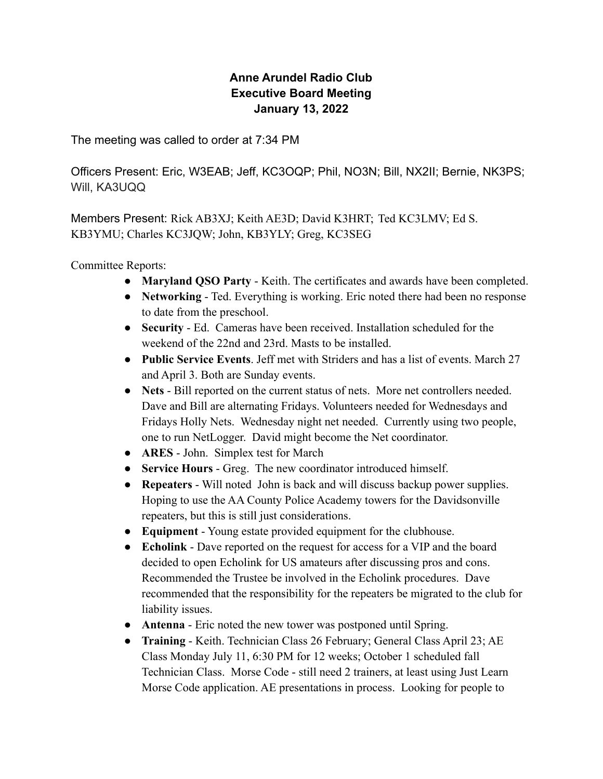## **Anne Arundel Radio Club Executive Board Meeting January 13, 2022**

The meeting was called to order at 7:34 PM

Officers Present: Eric, W3EAB; Jeff, KC3OQP; Phil, NO3N; Bill, NX2II; Bernie, NK3PS; Will, KA3UQQ

Members Present: Rick AB3XJ; Keith AE3D; David K3HRT; Ted KC3LMV; Ed S. KB3YMU; Charles KC3JQW; John, KB3YLY; Greg, KC3SEG

Committee Reports:

- **Maryland QSO Party** Keith. The certificates and awards have been completed.
- **Networking** Ted. Everything is working. Eric noted there had been no response to date from the preschool.
- **Security** Ed. Cameras have been received. Installation scheduled for the weekend of the 22nd and 23rd. Masts to be installed.
- **Public Service Events**. Jeff met with Striders and has a list of events. March 27 and April 3. Both are Sunday events.
- **Nets** Bill reported on the current status of nets. More net controllers needed. Dave and Bill are alternating Fridays. Volunteers needed for Wednesdays and Fridays Holly Nets. Wednesday night net needed. Currently using two people, one to run NetLogger. David might become the Net coordinator.
- **ARES** John. Simplex test for March
- **Service Hours** Greg. The new coordinator introduced himself.
- **Repeaters** Will noted John is back and will discuss backup power supplies. Hoping to use the AA County Police Academy towers for the Davidsonville repeaters, but this is still just considerations.
- **Equipment** Young estate provided equipment for the clubhouse.
- **Echolink** Dave reported on the request for access for a VIP and the board decided to open Echolink for US amateurs after discussing pros and cons. Recommended the Trustee be involved in the Echolink procedures. Dave recommended that the responsibility for the repeaters be migrated to the club for liability issues.
- **Antenna** Eric noted the new tower was postponed until Spring.
- **Training** Keith. Technician Class 26 February; General Class April 23; AE Class Monday July 11, 6:30 PM for 12 weeks; October 1 scheduled fall Technician Class. Morse Code - still need 2 trainers, at least using Just Learn Morse Code application. AE presentations in process. Looking for people to